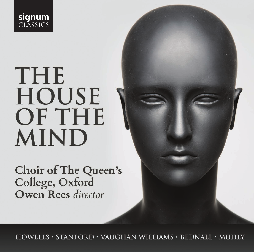

# THE **HOUSE OF THE MIND**

Choir of The Queen's College, Oxford Owen Rees director

HOWELLS · STANFORD · VAUGHAN WILLIAMS · BEDNALL · MUHLY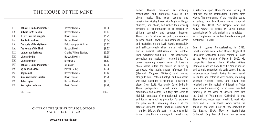### **THE HOUSE OF THE MIND**

| $\overline{1}$   | Behold, O God our defender     | <b>Herbert Howells</b>           | [4.08]  |
|------------------|--------------------------------|----------------------------------|---------|
| $\overline{2}$   | A Hymn for St Cecilia          | <b>Herbert Howells</b>           | [3.17]  |
| 3                | <b>0 Lord I am not haughty</b> | David Bednall                    | [5.25]  |
| 4 <sup>1</sup>   | God be in my head              | <b>Herbert Howells</b>           | [1.34]  |
| 5                | The souls of the righteous     | Ralph Vaughan Williams           | [3.13]  |
| 6                | The House of the Mind          | <b>Herbert Howells</b>           | [9.22]  |
| 7                | Lighten our darkness           | <b>Charles Villiers Stanford</b> | [3.55]  |
| 8                | Like as the hart               | <b>Herbert Howells</b>           | [5.58]  |
| 9                | Like as the hart               | Nico Muhly                       | [5.37]  |
| 10 <sup>10</sup> | Behold, O God our defender     | John Scott                       | [2.28]  |
| 11               | My beloved spake               | Patrick Hadley                   | [3.28]  |
| 12               | Regina cæli                    | <b>Herbert Howells</b>           | [3.14]  |
| 13               | Alma redemptoris mater         | David Bednall                    | [5.20]  |
| 14               | Salve regina                   | <b>Herbert Howells</b>           | [4.31]  |
| 15               | Ave regina cælorum             | David Bednall                    | [4.20]  |
|                  | <b>Total timings:</b>          |                                  | [66.01] |

#### **CHOIR OF THE QUEEN'S COLLEGE, OXFORD OWEN REES** DIRECTOR

Herbert Howells developed an instantly recognisable and distinctive voice in his choral music. That voice became and remains inextricably linked with Anglican liturgy, churches, and choirs, but rather than evoking formality or traditionalism it is marked by striking sensuality and apparent freedom. There is, as David Maw has put it, an essential paradox about Howells's compositional output and reputation: 'on one level, Howells successfully and self-consciously allied himself with the British musical establishment; on another level, everything about him – his background, psychology and musicality – resisted this.' The current recording presents seven of Howells's choral works within the context of music by composers who taught and/or influenced him (Stanford, Vaughan Williams) and worked alongside him (Patrick Hadley), and composers who have responded to his music in particular pieces (John Scott, Nico Muhly, David Bednall). These juxtapositions reveal some striking similarities and echoes, but they also serve to highlight contrasts of compositional language and ideals as much as proximity. For example, the piece on this recording which is at the greatest distance from Howells's sound-world – Muhly's *Like as the hart* – is the one which is most directly an *hommage* to Howells and

a reflection upon Howells's own setting of that text and his compositional methods more widely. The programme of the recording spans a century, from two Howells works composed during the Great War (*Regina cæli* and *Salve regina*) to pieces by David Bednall commissioned for this project and completed – as a complement to the two Howells items just mentioned – in 2016.

Born in Lydney, Gloucestershire, in 1892, Howells studied with Herbert Brewer, Organist of Gloucester Cathedral, before gaining a place at the Royal College of Music in 1912. His composition teacher there, Charles Villiers Stanford, described Howells as his 'son in music' and strongly supported his early career, but the influences upon Howells during this early period in London and before it were diverse, including Vaughan Williams, Elgar, and Ravel, and reflected also the revival of interest in Tudor (and other Renaissance) sacred music manifest famously in the work of Richard Terry with the Choir of Westminster Cathedral. It was Stanford who encouraged Howells to work with Terry, and in 1916 Howells wrote within the space of one week a set of *Four Anthems to the Blessed Virgin Mary* for Westminster Cathedral. Only two of these four anthems

#### **www.signumrecords.com**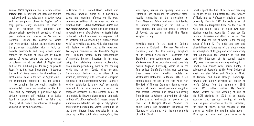survive: *Salve regina* and the Eastertide anthem *Regina cæli*. In their rich and imposing textures – achieved with six voice-parts in *Salve regina* and two antiphonal choirs in *Regina cæli* – they provide early examples of Howells's skill in exploiting the grandeur and atmospherically reverberant acoustics of such great ecclesiastical spaces as Westminster Cathedral. Despite the context for which they were written, neither setting draws upon the plainchant associated with its text, but Howells periodically and freely evokes chant through the shaping of lines and by having groups of voices declaim the text in unison or octaves, as at the start of *Regina cæli* and at the subdued plea for Mary to pray to Jesus for us ('et Jesum benedictum…') towards the end of *Salve regina*. He dramatises the most crucial word in the text of *Regina cæli* – the triumphant 'Resurrexit' ('he has arisen') – by bringing the two choirs together in monumental chordal declamation for the first time, and by employing a particular type of striking harmonic shift (related to a device found in certain Tudor works by Tallis and others) which reveals the influence of Vaughan Williams on the young composer.

In October 2016 I invited David Bednall, who describes Howells's music as a particularly strong and enduring influence on his own, to compose settings of the other two Marian antiphon texts – *Alma redemptoris mater* and *Ave regina cælorum* – which had been included in Howells's set of *Four Anthems* for Westminster Cathedral. Bednall conceived his responses not as pastiche but as inhabiting a 'similar sound world' to Howells's settings, while also engaging with features of other and earlier repertoire. *Ave regina cælorum* – like Howells's *Regina cæli* – is bound together by the reappearances of material, the most important in this case being the celebratory opening acclamation, which recurs periodically, both to the opening words and to set 'Gaude Virgo gloriosa'. These chordal fanfares act as pillars of the structure, alternating with sections of energetic melismatic and contrapuntal writing. Gabriel's word of salutation to Mary, 'Ave', ecstatically repeated by a solo soprano in what the composer describes as the central 'oasis' of this motet, is likewise given special emphasis in Bednall's *Alma redemptoris mater*, where it summons an extended passage of polyrhythmic counterpoint between the voices, expanding on the triplet figures heard sporadically in the piece up to this point. *Alma redemptoris*, like *Ave regina*, reuses its opening idea as a 'ritornello', one which (as the composer notes) recalls 'something of the atmosphere of Bax's *Mater ora filium*' and which 'is intended to summon something of the chill of a cold chapel, and also the sense of mystery of Advent', the season in which this Marian antiphon is sung.

Howells's music for the heart of Catholic devotion in England – the new Westminster Cathedral, and the four evening antiphons of the Blessed Virgin Mary – contrasts with Stanford's near-contemporary *Lighten our darkness*, one of the texts which most powerfully evokes Anglican Evensong, where it is the final collect. Stanford's setting was composed three years after Howells's motets for Westminster Cathedral, in March 1918, a few months before the end of the First World War. The text of Thomas Cranmer's famous collect 'against all perils' carried particular weight in this context: Stanford had moved temporarily from London to Windsor to avoid the air raids on the capital, and wrote this piece for the Choir of St George's Chapel, Windsor. The music simply but powerfully juxtaposes the 'dangers of this night' with the sure comforts of faith in Christ.

Howells spent the bulk of his career teaching in London, at his alma mater the Royal College of Music and as Professor of Music at London University. Early in 1941 he wrote a set of Four Anthems (originally titled 'in the time of war') on psalm texts, of which two have attained enduring popularity, *O pray for the peace of Jerusalem* and (third in the set) *Like as the hart*, the text of which is the opening verses of Psalm 42. The modal and jazz- and blues-influenced language of the piece creates an atmosphere of longing and even melancholy that emphasises the yearning of the text and the bitterness of its central section ('My tears have been my meat day and night…'). Howells was friends with Patrick Hadley, a colleague of Howells's at the Royal College of Music and also Fellow and Director of Music at Gonville and Caius College, Cambridge: Howells was acting Organist at nearby St John's College from the autumn of 1941 until 1945. Hadley's anthem *My beloved spake*, written for the wedding of one of his RCM students in 1936, is an equally evocative and sensuous setting of words from the great love-poem of the Old Testament, the Song of Songs. In the passage of text chosen by Hadley, the opening exhortation – 'Rise up, my love, and come away' – is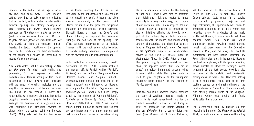repeated at the end of the passage – 'Arise, my love, and come away' – and Hadley's setting duly has an ABA structure reflecting that of the text, with a hushed middle section between opening and closing passages of great majesty and power. Howells likewise produced an ABA structure in *Like as the hart* (and in other anthems from the 1941 set, *O pray for the peace of Jerusalem* and *Let God arise*), but here the composer himself inserted the textual repetition of the opening text. For this repetition, the 'free' declamation of the tenors and basses is intensified by means of a soprano descant.

Nico Muhly writes that his own setting of *Like as the hart*, for choir, solo violin, and percussion, 'is my response to Herbert Howells's more famous setting of this Psalm paraphrase. I have always been obsessed with the length of Howells's melodies and the way that the harmonies trail behind the tunes like halos. In my version, I invert this relationship, with massive elongated harmonies dragging melodic fragments behind them. I arranged the harmonies in a large arch form with shrinking and expanding rhythms on either side of the central point (on the word "God").' Muhly sets just the first two verses of the Psalm, marking the division in the first verse by the appearance of a solo soprano at 'so longeth my soul'. Although the choir emerges dramatically at the central point ('God'), for much of the piece the foreground character is a solo violinist (on this recording, Elizabeth Nurse, a student at Queen's and Choral Scholar), accompanied by percussion (triangle and tam-tam at the opening): the effect suggests improvisation on a melodic fragment until the choir enters voice by voice, its slowly evolving harmonies counterpointed with the rhythmic impetus of the instruments.

In his collection of musical cameos, *Howells' Clavichord*, of the 1950s, Howells included one musical gift to Patrick Hadley ('Patrick's Siciliano') and two to Ralph Vaughan Williams ('Ralph's Pavane' and 'Ralph's Galliard'). Vaughan Williams's music had been one of the most important early influences on Howells, as is apparent in the latter's *Regina cæli*. The seventeen-year-old Howells had been deeply struck by the premiere of Vaughan Williams's *Fantasia on a Theme by Thomas Tallis* in Gloucester Cathedral in 1910: 'I was moved deeply. I think if I had to isolate from the rest any one impression of a purely musical sort that mattered most to me in the whole of my life as a musician, it would be the hearing of that work.' Howells was also to comment that 'Ralph and I felt and reacted to things musically in a very similar way, and if some of our works are alike in any respect, it's not, I think, merely a question of influence but also of intuitive affinity.' As Howells notes, part of that affinity lay in both composers' fascination with the modes, and modal writing strongly characterises the chant-like soloists' lines in Vaughan Williams's motet *The souls of the righteous*, composed for the dedication service of the Battle of Britain Chapel in Westminster Abbey in 1947. After a chantlike opening sung by soprano soloist and then choir, the repeated words 'but they are in peace' are quietly highlighted through telling harmonic shifts, while the Lydian mode is used to give brightness to the triumphant cascading peals opening the final section at 'For God proved them'.

From the mid 1940s onwards Howells produced the body of Anglican liturgical music for which he is most remembered, and for the Queen's coronation service at the Abbey in 1953 he composed the Introit *Behold, O God our defender*. Half a century later John Scott (then Organist of St Paul's Cathedral)

set the same text for the service held at St Paul's in June 2002 to mark the Queen's Golden Jubilee. Scott wrote: 'In a service characterized by pageantry, rejoicing and high celebration, the opportunity was taken to contribute something of a more gentle and reflective nature. As a devotee of the music of Herbert Howells, I was drawn to set these beautiful words from Psalm 84, which shamelessly evokes Howells's choral palette. Howells set these words for the Coronation Service in 1953, and I've always felt his little masterpiece has been unduly neglected. My Royal tribute also ends in homage to Howells; the final tenor phrase, with its Lydian inflection, draws directly on Howells's setting.' Scott's treatment of the text evokes Howells's also in some of its ecstatic and melismatic prolongations of words, but Howells's setting is on a much larger scale, each of its three sections capped by a dramatic climax: at the third statement of 'behold'; at 'thine annointed', with striking chordal shifts of the Vaughan-Williams variety once again; and finally at 'is better than a thousand'.

The largest-scale work by Howells on this recording is his motet *The House of the Mind* of 1954, a meditation on a seventeenth-century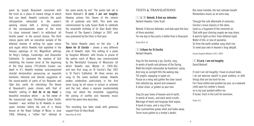poem by Joseph Beaumont concerned with the mind as a place of inward refuge in which God can dwell. Howells contrasts the quiet introspection advocated in the poem's opening stanza with a stirring evocation of the unconquerable power of the mind ('a close immured tower') to withstand 'all hostile power' in the second stanza. The third stanza opens with an evocative sample of the ethereal manner of writing for upper voices and organ which Howells had exploited in the famous openings of his Magnificat settings for King's College, Cambridge, and Gloucester Cathedral. To represent the mystery of God inhabiting the human mind at the beginning of the final stanza ('Th'infinite Creator can dwell in it'), Howells employs unaccompanied chordal declamation possessing an exquisite harmonic intensity and density suggestive of the sound-worlds of parts of his Requiem and *Take him, earth, for cherishing*. The theme of Beaumont's poem chimes with that of Howells' setting of *God be in my head*, a beautiful miniature which – as the owner of the manuscript copy, Christopher Eaton Smith, revealed – was 'written by Dr Howells in some spare minutes before the end of a theory lesson at the Royal College of Music in June 1966, following a "rather fair" attempt at

the same words by me!' The psalm text set in David Bednall's *O Lord, I am not haughty*, likewise echoes this theme of the interior life of quietude and faith. This work was commissioned by Lady Susan Budd to celebrate the seventieth birthday of Sir Alan Budd (then Provost of The Queen's College) in 2007, and was premiered by the Choir in that year.

The latest Howells piece on the disc – *A Hymn for St Cecilia* – shows a very different side of Howells' style. This setting of a poem by Vaughan Williams' wife Ursula in praise of the patron saint of Music was commissioned by the Worshipful Company of Musicians (of which Howells was Master in 1959–60), and was first sung on St Cecilia's Day 1961 in St Paul's Cathedral. All three verses are sung to the same exultant melody. Howells evokes celebration particularly in the first verse (sung by all voices in unison or octaves) and the last, where a soprano countermelody rings out above the ensemble, suggesting the joining of earthly and heavenly music which the poem here describes.

This recording has been made with generous support from Sir Alan Budd. Owen Rees © 2018

#### **TEXTS & TRANSLATIONS**

1 & 0 **Behold, O God our defender**  Herbert Howells / John Scott

Behold, O God our defender, and look upon the face of thine anointed.

For one day in thy courts is better than a thousand.

Psalm 84:9–10

#### 2 **A Hymn for St Cecilia**  Herbert Howells

Sing for the morning's joy, Cecilia, sing, In words of youth and phrases of the Spring, Walk the bright colonnades by fountains' spray, And sing as sunlight fills the waking day; Till angels, voyaging in upper air, Pause on a wing and gather the clear sound Into celestial joy, wound and unwound A silver chain, or golden as your hair.

Sing for your loves of heaven and of earth, In words of music, and each word a truth; Marriage of heart and longings that aspire, A bond of roses, and a ring of fire. Your summertime grows short and fades away, Terror must gather to a martyr's death;

But never tremble, the last indrawn breath Remembers music as an echo may.

Through the cold aftermath of centuries, Cecilia's music dances in the skies; Lend us a fragment of the immortal air, That with your choiring angels we may share, A word to light us thro' time-fettered night, Water of life, or rose of paradise, So from the earth another song shall rise To meet your own in heaven's long delight.

Ursula Vaughan Williams (1911–2007)

#### 3 **O Lord, I am not haughty**  David Bednall

O Lord I am not haughty; I have no proud looks. I do not exercise myself in great matters, or with things that are too hard for me. For I have stilled and quieted my soul, as a weaned child upon his mother's breast; so is my soul quieted within me. O Israel, trust in the Lord for evermore.

Psalm 131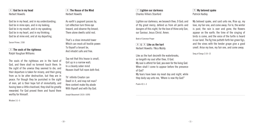4 **God be in my head**  Herbert Howells

God be in my head, and in my understanding; God be in mine eyes, and in my looking; God be in my mouth, and in my speaking; God be in my heart, and in my thinking; God be at mine end, and at my departing.

Sarum Primer, 1558

Wisdom 3:1–5

#### 5 **The souls of the righteous**  Ralph Vaughan Williams

The souls of the righteous are in the hand of God, and there shall no torment touch them. In the sight of the unwise they seemed to die, and their departure is taken for misery, and their going from us to be utter destruction, but they are in peace. For though they be punished in the sight of men, yet is their hope full of immortality, and having been a little chastised, they shall be greatly rewarded. For God proved them and found them worthy for Himself.

6 **The House of the Mind**  Herbert Howells

As earth's pageant passes by, Let reflection turn thine eye Inward, and observe thy breast; There alone dwells solid rest.

That's a close immurèd tower Which can mock all hostile power: To thyself a tenant be, And inhabit safe and free.

Say not that this house is small, Girt up in a narrow wall; In a cleanly sober mind Heaven itself full room doth find.

Th' infinite Creator can Dwell in it, and may not man? Here content make thy abode With thyself and with thy God.

Joseph Beaumont (1616–1699)

**T1 My beloved spake** 

My beloved spake, and said unto me, Rise up, my love, my fair one, and come away. For lo, the winter is past, the rain is over and gone; the flowers appear on the earth; the time of the singing of birds is come, and the voice of the turtle is heard in our land. The fig tree putteth forth her green figs, and the vines with the tender grape give a good smell. Arise my love, my fair one, and come away.

Song of Songs 2:10–13

Lighten our darkness, we beseech thee, O God; and Patrick Hadley

7 **Lighten our darkness**  Charles Villiers Stanford

our Saviour, Jesus Christ. Amen.

Like as the hart desireth the waterbrooks, so longeth my soul after thee, O God.

My soul is athirst for God, yea even for the living God. When shall I come to appear before the presence

My tears have been my meat day and night, while they daily say unto me, 'Where is now thy God?'

8 & 9 **Like as the hart**  Herbert Howells / Nico Muhly

Book of Common Prayer

of God?

Psalm 42:1–3

of thy great mercy, defend us from all perils and dangers of this night; for the love of thine only Son,

- 11 -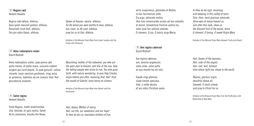Regina cæli lætare, alleluia; Quia quem meruisti portare, alleluia; Resurrexit sicut dixit, alleluia; Ora pro nobis Deum, alleluia.

#### **13** Alma redemptoris mater David Bednall

Alma redemptoris mater, quæ pervia cæli porta manes, et stella maris, succurre cadenti surgere qui curat populo. Tu quæ genuisti, natura mirante, tuum sanctum genitorem, virgo prius ac posterius, Gabrielis ab ore sumens illud 'Ave', peccatorum miserere.

#### **14** Salve regina Herbert Howells

Salve Regina, mater misericordiæ, vita, dulcedo, et spes nostra, Salve! Ad te clamamus, exsules filii Hevæ;

*Queen of heaven, rejoice, alleluia; for He whom you were worthy to bear, alleluia, has risen, as He said, alleluia; pray for us to God. Alleluia.*

Antiphon of the Blessed Virgin Mary from Easter Sunday until the Friday after Pentecost

*Nourishing mother of the redeemer, you who are the open door to heaven, and star of the sea, help the falling people who strive to rise. You who gave birth, with nature wondering, to your Holy Creator, virgin before and after, receiving that 'Hail' from the mouth of Gabriel, have mercy on sinners.*

Antiphon of the Blessed Virgin Mary from Advent until the Purification

ad te suspiramus, gementes et flentes in hac lacrimarum valle. Eia ergo, advocata nostra, illos tuos misericordes oculos ad nos converte, et Jesum, benedictum fructum ventris tui, nobis post hoc exilium ostende, O clemens, O pia, O dulcis virgo Maria.

**15** Ave regina cælorum David Bednall

Ave regina cælorum, ave, domina angelorum: salve radix, salve porta ex qua mundo lux est orta:

Gaude virgo gloriosa, super omnes speciosa, Vale, o valde decora, et pro nobis Christum exora.

*to thee do we sigh, mourning and weeping in this valley of tears. Turn, then, most gracious advocate, thine eyes of mercy toward us, and after this exile, show us the blessed fruit of thy womb, Jesus. O clement, O loving, O sweet Virgin Mary.* 

Antiphon of the Blessed Virgin Mary between Trinity and Advent

*Hail, Queen of the heavens, Hail, ruler of the angels: Hail, root, hail, harbour from whom light has shone to the world.*

*Rejoice, glorious virgin, beautiful above all, farewell, O most comely, and pray to Christ for us.*

Antiphon of the Blessed Virgin Mary from the Purification until Wednesday of Holy Week

*Hail, Queen, Mother of mercy, Hail, our life, our sweetness and our hope! To thee do we cry, banished children of Eve,*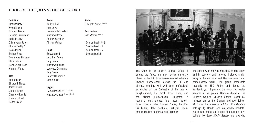#### **CHOIR OF THE QUEEN'S COLLEGE OXFORD**

#### **Soprano**

**Alto** Esther Brazil Elizabeth Nurse James Orrell Chris Pidgeon Charlotte Rowden Hannah Street Henry Taylor

Eleanor Bray \* Helen Brown Pandora Dewan Patricia Drummond Isabella Grive Olivia Hugh-Jones Ella McCarthy # Rosie Miller Bethan Rose Dominique Simpson Fleur Smith † Roya Stuart-Rees Hannah Wight

#### **Tenor**

Andrew Doll Alex Grigg Laurence Jeffcoate § Matthew Reese Andrew Sanchez Alistair Walker

#### **Bass**

Erik Andreoli Jonathan Arnold Rory Booth Matthew Buchan Laurence Cummins Rory Green Robert Holbrook § Dirk Verloop

#### **Organ**

David Bednall (tracks 1, 3, 6, 7) Matthew Gibson (tracks 2, 8, 11) **Violin** Elizabeth Nurse (track 9)

**Percussion** John Warner (track 9)

\* Solo on tracks 5, 9 † Solo on track 14 # Solo on track 15 § Solo on track 5



The Choir of the Queen's College, Oxford is among the finest and most active university choirs in the UK. Its extensive concert schedule involves appearances across the UK and abroad, including work with such professional ensembles as the Orchestra of the Age of Enlightenment, the Brook Street Band, and the Oxford Philharmonic Orchestra. It regularly tours abroad, and recent concert tours have included Taiwan, China, the USA, Sri Lanka, Italy, Sardinia, Portugal, Spain, France, the Low Countries, and Germany.

The choir's wide-ranging repertory, on recordings and in concerts and services, includes a rich array of Renaissance and Baroque music and contemporary works. The group broadcasts regularly on BBC Radio, and during the academic year it provides the music for regular services in the splendid Baroque chapel of The Queen's College. Queen's Choir's recent CD releases are on the Signum and Avie labels. 2013 saw the release of a CD of *Dixit Dominus*  settings by Handel and Alessandro Scarlatti. which was hailed as 'a disc of unusually high calibre' by *Early Music Review* and awarded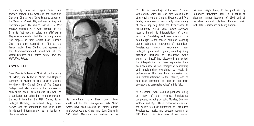5 stars by *Choir and Organ*. *Carols from Queen's* enjoyed nine weeks in the Specialist Classical Charts, was 'Drive Featured Album of the Week' on Classic FM, and was a *Telegraph*  Christmas pick. The choir's last disc, *A New Heaven*, released 2017, went straight to No. 1 in its first week of sales, and *BBC Music Magazine* commented that the recording shows 'the singers at their radiant best'. Queen's Choir has also recorded for film at the famous Abbey Road Studios, and appears on the Grammy-nominated soundtrack of the Warner-Brothers film *Harry Potter and the Half-Blood Prince.*

#### **OWEN REES**

Owen Rees is Professor of Music at the University of Oxford, and Fellow in Music and Organist (Director of Music) at The Queen's College. He directs the Chapel Choir of The Queen's College and also conducts the professional early-music choir Contrapunctus. His work as a conductor has taken him to many parts of the world, including the USA, China, Spain, Portugal, Germany, Switzerland, Italy, France, Norway, and the Netherlands, and he is much in demand internationally as a leader of choral workshops.



His recordings have three times been shortlisted for the *Gramophone* Early Music Award, have been selected as Editor's Choice in *Gramophone* and Choral and Song Choice in *BBC Music Magazine*, and featured in the

'20 Classical Recordings of the Year' 2015 in *The Sunday Times*. His CDs with Queen's and other choirs, on the Signum, Hyperion, and Avie labels, encompass a remarkably wide variety of choral repertory from the Renaissance to contemporary works. *BBC Music Magazine*  recently hailed his interpretations of choral music as 'revelatory and even visionary'. He has brought to the concert hall and recording studio substantial repertories of magnificent Renaissance music, particularly from Portugal, Spain, and England, including many previously unknown or little-known works which he himself has discovered and edited. His interpretations of these repertories have been acclaimed as 'rare examples of scholarship and musicianship combining to result in performances that are both impressive and immediately attractive to the listener', and he has been described as 'one of the most energetic and persuasive voices' in this field.

As a scholar, Owen Rees has published widely on many of the foremost Renaissance composers, including Josquin, Morales, Guerrero, Victoria, and Byrd. He is renowned as one of the world's foremost authorities on Portuguese Renaissance music, and appears regularly on BBC Radio 3 in discussions of early music. His next major book, to be published by Cambridge University Press, is a study of Victoria's famous Requiem of 1603 and of the whole genre of polyphonic Requiem music in the late Renaissance and early Baroque.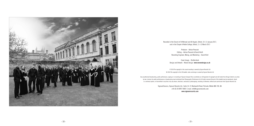

Recorded in the Church of St Michael and All Angels, Oxford, 10–11 January 2017, and in the Chapel of Keble College, Oxford, 11–12 March 2017

> Producer – Adrian Peacock Editing – Adrian Peacock & David Hinitt Recording Engineer, Mixing, and Mastering – David Hinit

Cover Image – Shutterstock Design and Artwork – Woven Design **www.wovendesign.co.uk**

 $P$  2018 The copyright in this sound recording is owned by Signum Records Ltd © 2018 The copyright in this CD booklet, notes and design is owned by Signum Records Ltd

Any unauthorised broadcasting, public performance, copying or re-recording of Signum Compact Discs constitutes an infringement of copyright and will render the infringer liable to an action by law. Licences for public performances or broadcasting may be obtained from Phonographic Performance Ltd. All rights reserved. No part of this booklet may be reproduced, stored in a retrieval system, or transmitted in any form or by any means, electronic, mechanical, photocopying, recording or otherwise, without prior permission from Signum Records Ltd.

> SignumClassics, Signum Records Ltd., Suite 14, 21 Wadsworth Road, Perivale, Middx UB6 7JD, UK. +44 (0) 20 8997 4000 E-mail: info@signumrecords.com **www.signumrecords.com**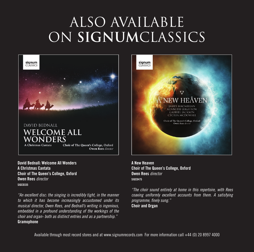# ALSO AVAILABLE on **signum**classics



**David Bednall: Welcome All Wonders A Christmas Cantata Choir of The Queen's College, Oxford Owen Rees** *director*  **SIGCD335**

*"An excellent disc: the singing is incredibly tight, in the manner to which it has become increasingly accustomed under its musical director, Owen Rees, and Bednall's writing is ingenious, embedded in a profound understanding of the workings of the choir and organ- both as distinct entries and as a partnership."*  **Gramophone**



**A New Heaven Choir of The Queen's College, Oxford Owen Rees** *director* **SIGCD475**

*"The choir sound entirely at home in this repertoire, with Rees coaxing uniformly excellent accounts from them. A satisfying programme, finely sung."* 

**Choir and Organ**

Available through most record stores and at www.signumrecords.com For more information call +44 (0) 20 8997 4000